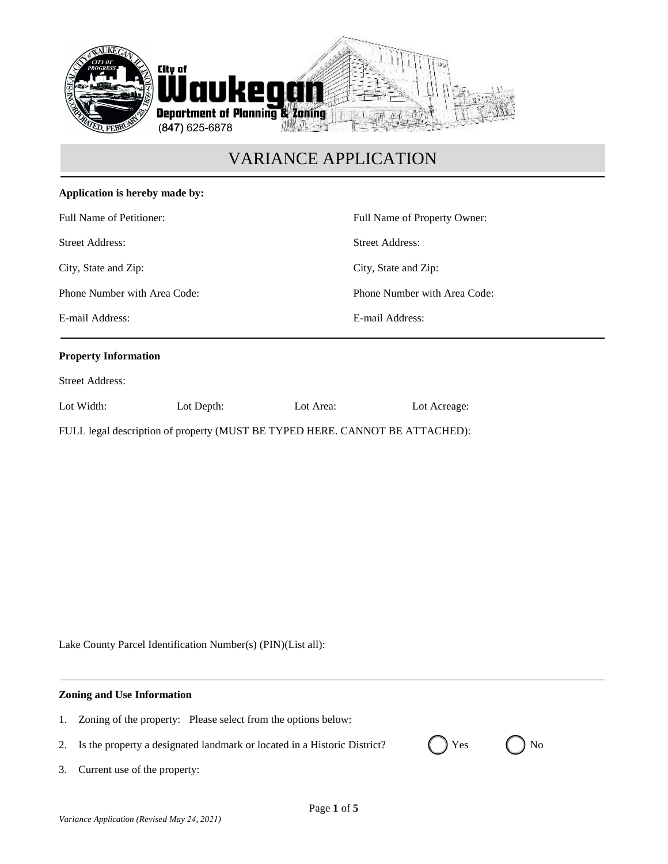

| Application is hereby made by:                                                                             |            |           |                                                                                                                |  |                             |  |  |                 |  |
|------------------------------------------------------------------------------------------------------------|------------|-----------|----------------------------------------------------------------------------------------------------------------|--|-----------------------------|--|--|-----------------|--|
| Full Name of Petitioner:<br><b>Street Address:</b><br>City, State and Zip:<br>Phone Number with Area Code: |            |           | Full Name of Property Owner:<br><b>Street Address:</b><br>City, State and Zip:<br>Phone Number with Area Code: |  |                             |  |  |                 |  |
|                                                                                                            |            |           |                                                                                                                |  | E-mail Address:             |  |  | E-mail Address: |  |
|                                                                                                            |            |           |                                                                                                                |  | <b>Property Information</b> |  |  |                 |  |
|                                                                                                            |            |           |                                                                                                                |  | <b>Street Address:</b>      |  |  |                 |  |
| Lot Width:                                                                                                 | Lot Depth: | Lot Area: | Lot Acreage:                                                                                                   |  |                             |  |  |                 |  |

FULL legal description of property (MUST BE TYPED HERE. CANNOT BE ATTACHED):

Lake County Parcel Identification Number(s) (PIN)(List all):

### **Zoning and Use Information**

- 1. Zoning of the property: Please select from the options below:2. Is the property a designated landmark or located in a Historic District?  $\left( \right)$  Yes  $\left( \right)$  No
- 3. Current use of the property: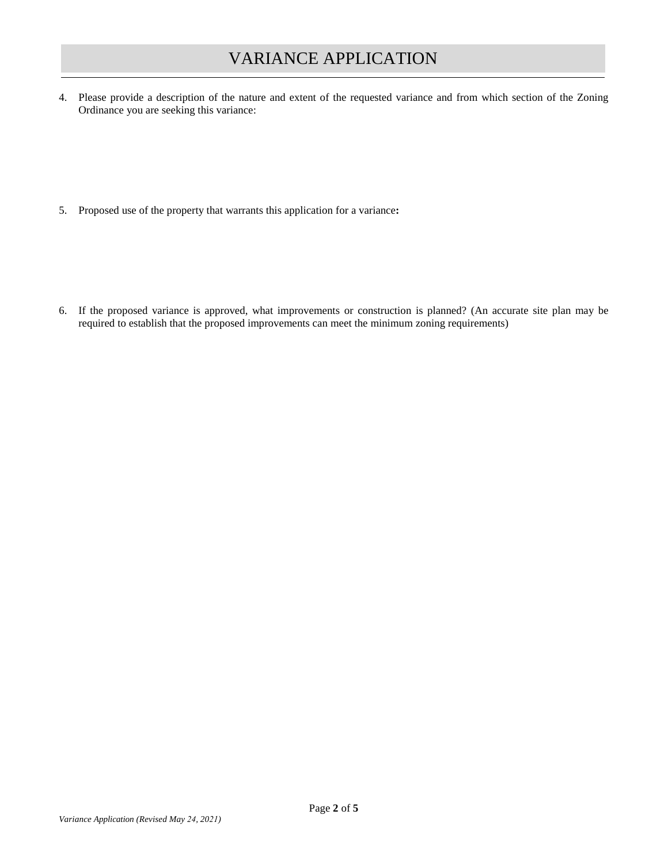4. Please provide a description of the nature and extent of the requested variance and from which section of the Zoning Ordinance you are seeking this variance:

5. Proposed use of the property that warrants this application for a variance**:**

6. If the proposed variance is approved, what improvements or construction is planned? (An accurate site plan may be required to establish that the proposed improvements can meet the minimum zoning requirements)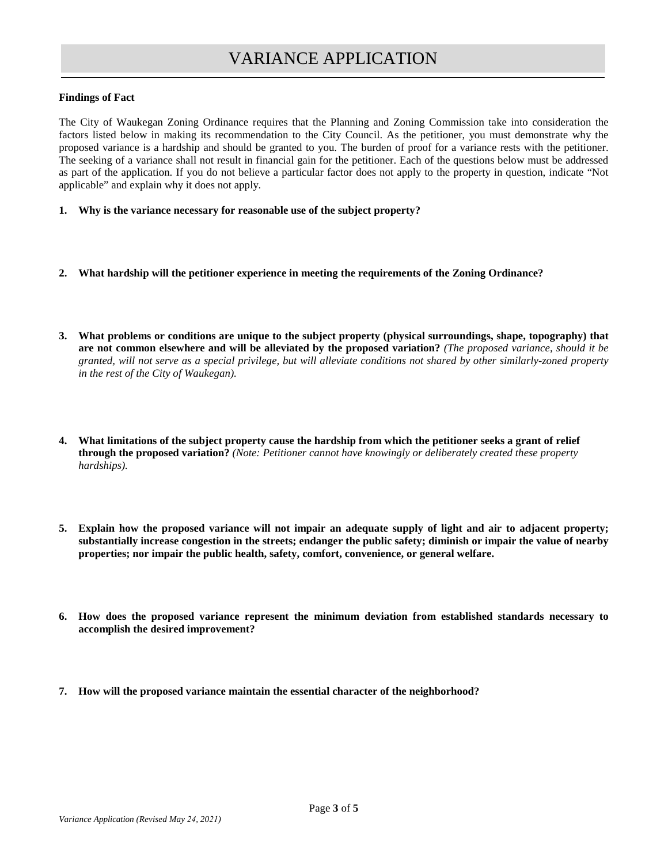#### **Findings of Fact**

The City of Waukegan Zoning Ordinance requires that the Planning and Zoning Commission take into consideration the factors listed below in making its recommendation to the City Council. As the petitioner, you must demonstrate why the proposed variance is a hardship and should be granted to you. The burden of proof for a variance rests with the petitioner. The seeking of a variance shall not result in financial gain for the petitioner. Each of the questions below must be addressed as part of the application. If you do not believe a particular factor does not apply to the property in question, indicate "Not applicable" and explain why it does not apply.

- **1. Why is the variance necessary for reasonable use of the subject property?**
- **2. What hardship will the petitioner experience in meeting the requirements of the Zoning Ordinance?**
- **3. What problems or conditions are unique to the subject property (physical surroundings, shape, topography) that are not common elsewhere and will be alleviated by the proposed variation?** *(The proposed variance, should it be granted, will not serve as a special privilege, but will alleviate conditions not shared by other similarly-zoned property in the rest of the City of Waukegan).*
- **4. What limitations of the subject property cause the hardship from which the petitioner seeks a grant of relief through the proposed variation?** *(Note: Petitioner cannot have knowingly or deliberately created these property hardships).*
- **5. Explain how the proposed variance will not impair an adequate supply of light and air to adjacent property; substantially increase congestion in the streets; endanger the public safety; diminish or impair the value of nearby properties; nor impair the public health, safety, comfort, convenience, or general welfare.**
- **6. How does the proposed variance represent the minimum deviation from established standards necessary to accomplish the desired improvement?**
- **7. How will the proposed variance maintain the essential character of the neighborhood?**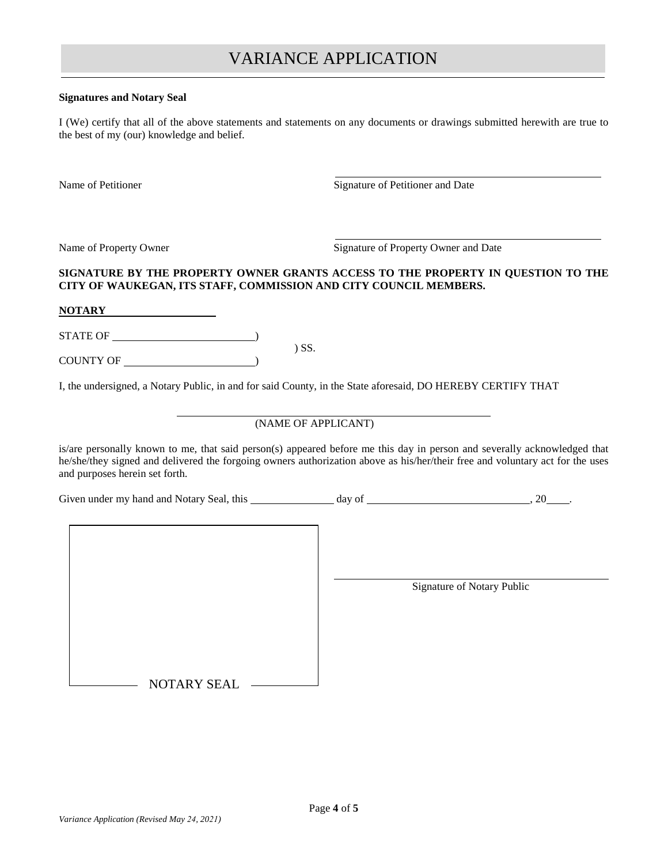#### **Signatures and Notary Seal**

I (We) certify that all of the above statements and statements on any documents or drawings submitted herewith are true to the best of my (our) knowledge and belief.

Name of Petitioner Signature of Petitioner and Date

Name of Property Owner Signature of Property Owner and Date

## **SIGNATURE BY THE PROPERTY OWNER GRANTS ACCESS TO THE PROPERTY IN QUESTION TO THE CITY OF WAUKEGAN, ITS STAFF, COMMISSION AND CITY COUNCIL MEMBERS.**

**NOTARY**

STATE OF )

COUNTY OF )

I, the undersigned, a Notary Public, in and for said County, in the State aforesaid, DO HEREBY CERTIFY THAT

) SS.

## (NAME OF APPLICANT)

is/are personally known to me, that said person(s) appeared before me this day in person and severally acknowledged that he/she/they signed and delivered the forgoing owners authorization above as his/her/their free and voluntary act for the uses and purposes herein set forth.

Given under my hand and Notary Seal, this  $\frac{1}{2}$  day of  $\frac{1}{2}$  ...  $\frac{20}{2}$ .

Signature of Notary Public

NOTARY SEAL -